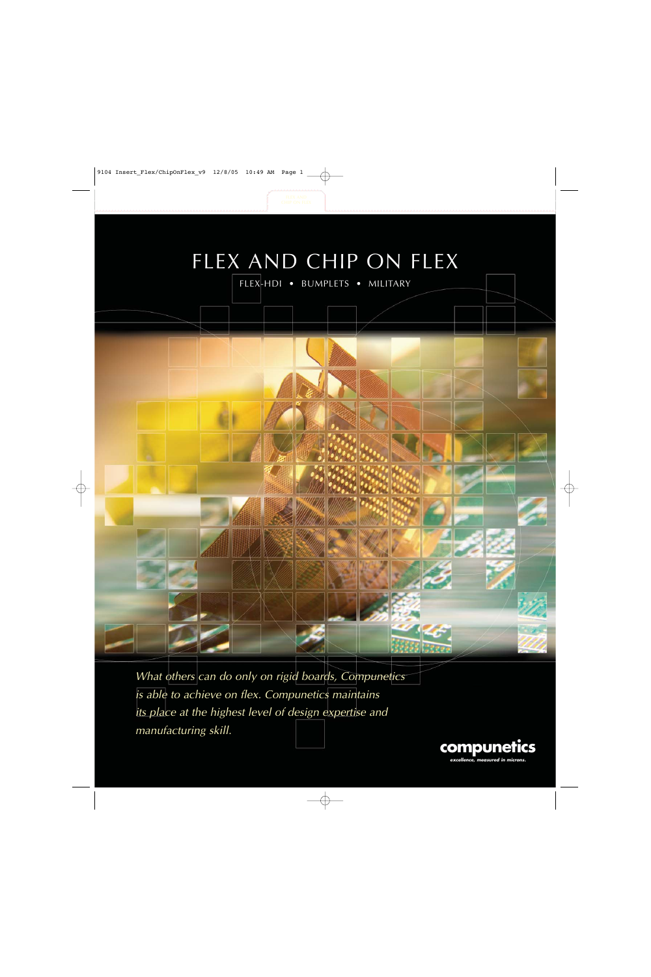

What others can do only on rigid boards, Compunetics is able to achieve on flex. Compunetics maintains its place at the highest level of design expertise and manufacturing skill.